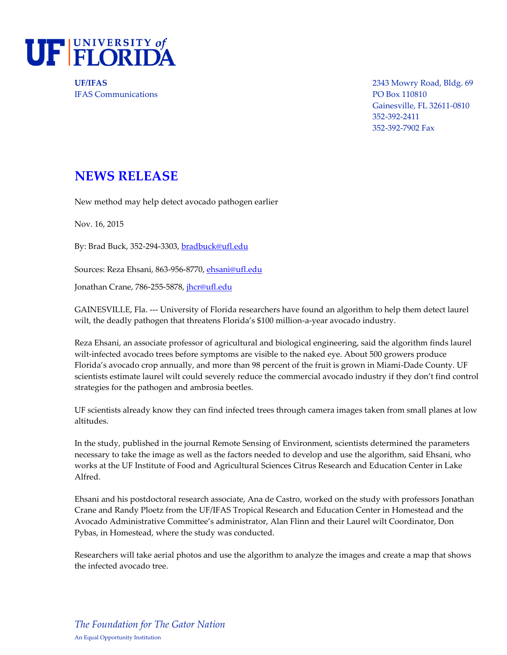

IFAS Communications PO Box 110810

**UF/IFAS** 2343 Mowry Road, Bldg. 69 Gainesville, FL 32611-0810 352-392-2411 352-392-7902 Fax

## **NEWS RELEASE**

New method may help detect avocado pathogen earlier

Nov. 16, 2015

By: Brad Buck, 352-294-3303, [bradbuck@ufl.edu](mailto:bradbuck@ufl.edu)

Sources: Reza Ehsani, 863-956-8770[, ehsani@ufl.edu](mailto:ehsani@ufl.edu)

Jonathan Crane, 786-255-5878, *jhcr@ufl.edu* 

GAINESVILLE, Fla. --- University of Florida researchers have found an algorithm to help them detect laurel wilt, the deadly pathogen that threatens Florida's \$100 million-a-year avocado industry.

Reza Ehsani, an associate professor of agricultural and biological engineering, said the algorithm finds laurel wilt-infected avocado trees before symptoms are visible to the naked eye. About 500 growers produce Florida's avocado crop annually, and more than 98 percent of the fruit is grown in Miami-Dade County. UF scientists estimate laurel wilt could severely reduce the commercial avocado industry if they don't find control strategies for the pathogen and ambrosia beetles.

UF scientists already know they can find infected trees through camera images taken from small planes at low altitudes.

In the study, published in the journal Remote Sensing of Environment, scientists determined the parameters necessary to take the image as well as the factors needed to develop and use the algorithm, said Ehsani, who works at the UF Institute of Food and Agricultural Sciences Citrus Research and Education Center in Lake Alfred.

Ehsani and his postdoctoral research associate, Ana de Castro, worked on the study with professors Jonathan Crane and Randy Ploetz from the UF/IFAS Tropical Research and Education Center in Homestead and the Avocado Administrative Committee's administrator, Alan Flinn and their Laurel wilt Coordinator, Don Pybas, in Homestead, where the study was conducted.

Researchers will take aerial photos and use the algorithm to analyze the images and create a map that shows the infected avocado tree.

*The Foundation for The Gator Nation* An Equal Opportunity Institution